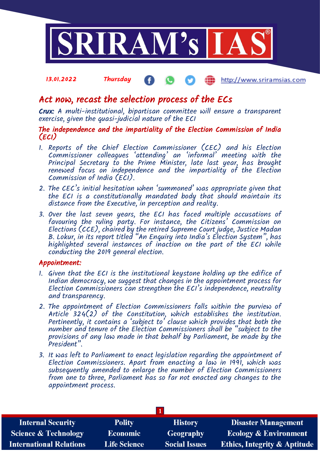

#### 13.01.2022 Thursday http://www.sriramsias.com

# Act now, recast the selection process of the ECs

Crux: A multi-institutional, bipartisan committee will ensure a transparent exercise, given the quasi-judicial nature of the ECI

### The independence and the impartiality of the Election Commission of India (ECI)

- 1. Reports of the Chief Election Commissioner (CEC) and his Election Commissioner colleagues 'attending' an 'informal' meeting with the Principal Secretary to the Prime Minister, late last year, has brought renewed focus on independence and the impartiality of the Election Commission of India (ECI).
- 2. The CEC's initial hesitation when 'summoned' was appropriate given that the ECI is a constitutionally mandated body that should maintain its distance from the Executive, in perception and reality.
- 3. Over the last seven years, the ECI has faced multiple accusations of favouring the ruling party. For instance, the Citizens' Commission on Elections (CCE), chaired by the retired Supreme Court judge, Justice Madan B. Lokur, in its report titled "An Enquiry into India's Election System", has highlighted several instances of inaction on the part of the ECI while conducting the 2019 general election.

### Appointment:

- 1. Given that the ECI is the institutional keystone holding up the edifice of Indian democracy, we suggest that changes in the appointment process for Election Commissioners can strengthen the ECI's independence, neutrality and transparency.
- 2. The appointment of Election Commissioners falls within the purview of Article  $324(2)$  of the Constitution, which establishes the institution. Pertinently, it contains a 'subject to' clause which provides that both the number and tenure of the Election Commissioners shall be "subject to the provisions of any law made in that behalf by Parliament, be made by the President".
- 3. It was left to Parliament to enact legislation regarding the appointment of Election Commissioners. Apart from enacting a law in 1991, which was subsequently amended to enlarge the number of Election Commissioners from one to three, Parliament has so far not enacted any changes to the appointment process.

| <b>Internal Security</b>        | <b>Polity</b>       | <b>History</b>       | <b>Disaster Management</b>              |  |  |
|---------------------------------|---------------------|----------------------|-----------------------------------------|--|--|
| <b>Science &amp; Technology</b> | <b>Economic</b>     | Geography            | <b>Ecology &amp; Environment</b>        |  |  |
| <b>International Relations</b>  | <b>Life Science</b> | <b>Social Issues</b> | <b>Ethics, Integrity &amp; Aptitude</b> |  |  |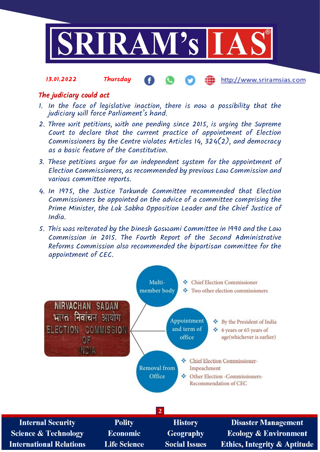

#### 13.01.2022 Thursday http://www.sriramsias.com

# The judiciary could act

- 1. In the face of legislative inaction, there is now a possibility that the judiciary will force Parliament's hand.
- 2. Three writ petitions, with one pending since 2015, is urging the Supreme Court to declare that the current practice of appointment of Election Commissioners by the Centre violates Articles 14,  $324(2)$ , and democracy as a basic feature of the Constitution.
- 3. These petitions argue for an independent system for the appointment of Election Commissioners, as recommended by previous Law Commission and various committee reports.
- 4. In 1975, the Justice Tarkunde Committee recommended that Election Commissioners be appointed on the advice of a committee comprising the Prime Minister, the Lok Sabha Opposition Leader and the Chief Justice of India.
- 5. This was reiterated by the Dinesh Goswami Committee in 1990 and the Law Commission in 2015. The Fourth Report of the Second Administrative Reforms Commission also recommended the bipartisan committee for the appointment of CEC.